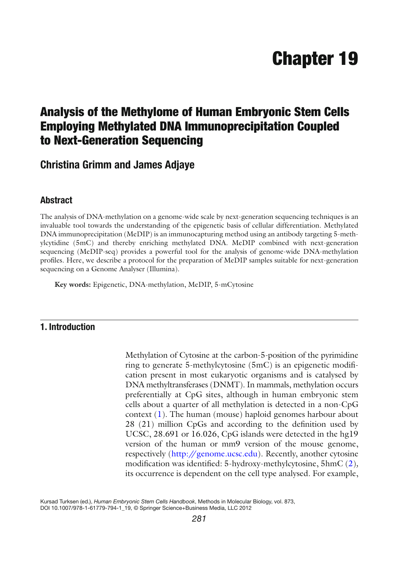# **Chapter 19**

## **Analysis of the Methylome of Human Embryonic Stem Cells Employing Methylated DNA Immunoprecipitation Coupled to Next-Generation Sequencing**

 **Christina Grimm and James Adjaye** 

#### **Abstract**

The analysis of DNA-methylation on a genome-wide scale by next-generation sequencing techniques is an invaluable tool towards the understanding of the epigenetic basis of cellular differentiation. Methylated DNA immunoprecipitation (MeDIP) is an immunocapturing method using an antibody targeting 5-methylcytidine (5mC) and thereby enriching methylated DNA. MeDIP combined with next-generation sequencing (MeDIP-seq) provides a powerful tool for the analysis of genome-wide DNA-methylation profiles. Here, we describe a protocol for the preparation of MeDIP samples suitable for next-generation sequencing on a Genome Analyser (Illumina).

**Key words:** Epigenetic, DNA-methylation, MeDIP, 5-mCytosine

### **1. Introduction**

Methylation of Cytosine at the carbon-5-position of the pyrimidine ring to generate 5-methylcytosine (5mC) is an epigenetic modification present in most eukaryotic organisms and is catalysed by DNA methyltransferases (DNMT). In mammals, methylation occurs preferentially at CpG sites, although in human embryonic stem cells about a quarter of all methylation is detected in a non-CpG context  $(1)$ . The human (mouse) haploid genomes harbour about  $28$  (21) million CpGs and according to the definition used by UCSC, 28.691 or 16.026, CpG islands were detected in the hg19 version of the human or mm9 version of the mouse genome, respectively (<http://genome.ucsc.edu>). Recently, another cytosine modification was identified: 5-hydroxy-methylcytosine, 5hmC (2), its occurrence is dependent on the cell type analysed. For example,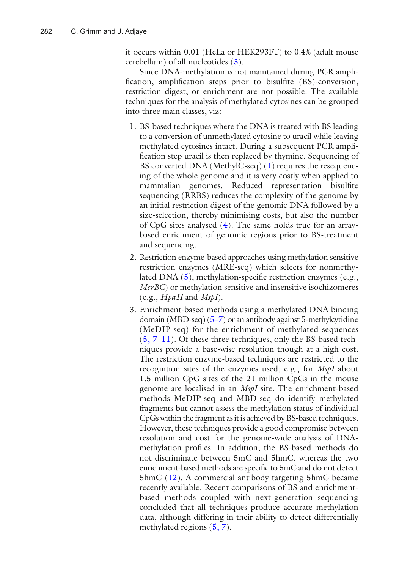it occurs within 0.01 (HeLa or HEK293FT) to 0.4% (adult mouse cerebellum) of all nucleotides  $(3)$ .

Since DNA-methylation is not maintained during PCR amplification, amplification steps prior to bisulfite (BS)-conversion, restriction digest, or enrichment are not possible. The available techniques for the analysis of methylated cytosines can be grouped into three main classes, viz:

- 1. BS-based techniques where the DNA is treated with BS leading to a conversion of unmethylated cytosine to uracil while leaving methylated cytosines intact. During a subsequent PCR amplification step uracil is then replaced by thymine. Sequencing of BS converted DNA (MethylC-seq)  $(1)$  requires the resequencing of the whole genome and it is very costly when applied to mammalian genomes. Reduced representation bisulfite sequencing (RRBS) reduces the complexity of the genome by an initial restriction digest of the genomic DNA followed by a size-selection, thereby minimising costs, but also the number of CpG sites analysed  $(4)$ . The same holds true for an arraybased enrichment of genomic regions prior to BS-treatment and sequencing.
- 2. Restriction enzyme-based approaches using methylation sensitive restriction enzymes (MRE-seq) which selects for nonmethylated DNA  $(5)$ , methylation-specific restriction enzymes (e.g., *McrBC*) or methylation sensitive and insensitive isochizomeres (e.g., *HpaII* and *MspI*).
- 3. Enrichment-based methods using a methylated DNA binding domain (MBD-seq)  $(5-7)$  or an antibody against 5-methylcytidine (MeDIP-seq) for the enrichment of methylated sequences  $(5, 7-11)$  $(5, 7-11)$  $(5, 7-11)$ . Of these three techniques, only the BS-based techniques provide a base-wise resolution though at a high cost. The restriction enzyme-based techniques are restricted to the recognition sites of the enzymes used, e.g., for *MspI* about 1.5 million CpG sites of the 21 million CpGs in the mouse genome are localised in an *MspI* site. The enrichment-based methods MeDIP-seq and MBD-seq do identify methylated fragments but cannot assess the methylation status of individual CpGs within the fragment as it is achieved by BS-based techniques. However, these techniques provide a good compromise between resolution and cost for the genome-wide analysis of DNAmethylation profiles. In addition, the BS-based methods do not discriminate between 5mC and 5hmC, whereas the two enrichment-based methods are specific to 5mC and do not detect 5hmC (12). A commercial antibody targeting 5hmC became recently available. Recent comparisons of BS and enrichmentbased methods coupled with next-generation sequencing concluded that all techniques produce accurate methylation data, although differing in their ability to detect differentially methylated regions  $(5, 7)$ .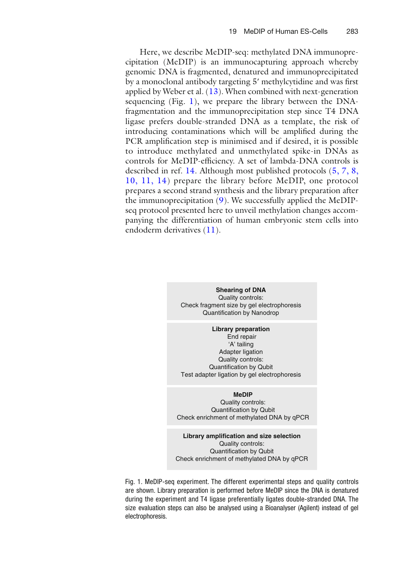Here, we describe MeDIP-seq: methylated DNA immunoprecipitation (MeDIP) is an immunocapturing approach whereby genomic DNA is fragmented, denatured and immunoprecipitated by a monoclonal antibody targeting 5' methylcytidine and was first applied by Weber et al.  $(13)$ . When combined with next-generation sequencing (Fig. 1), we prepare the library between the DNAfragmentation and the immunoprecipitation step since T4 DNA ligase prefers double-stranded DNA as a template, the risk of introducing contaminations which will be amplified during the PCR amplification step is minimised and if desired, it is possible to introduce methylated and unmethylated spike-in DNAs as controls for MeDIP-efficiency. A set of lambda-DNA controls is described in ref. [14](#page-14-0). Although most published protocols  $(5, 7, 8, 1)$ [10,](#page-13-0) [11, 14](#page-14-0)) prepare the library before MeDIP, one protocol prepares a second strand synthesis and the library preparation after the immunoprecipitation  $(9)$ . We successfully applied the MeDIPseq protocol presented here to unveil methylation changes accompanying the differentiation of human embryonic stem cells into endoderm derivatives  $(11)$ .

> **Shearing of DNA** Quality controls: Check fragment size by gel electrophoresis Quantification by Nanodrop

**Library preparation** End repair 'A' tailing Adapter ligation Quality controls:

Quantification by Qubit Test adapter ligation by gel electrophoresis

#### **MeDIP**

Quality controls: Quantification by Qubit Check enrichment of methylated DNA by qPCR

**Library amplification and size selection** Quality controls: Quantification by Qubit Check enrichment of methylated DNA by qPCR

 Fig. 1. MeDIP-seq experiment. The different experimental steps and quality controls are shown. Library preparation is performed before MeDIP since the DNA is denatured during the experiment and T4 ligase preferentially ligates double-stranded DNA. The size evaluation steps can also be analysed using a Bioanalyser (Agilent) instead of gel electrophoresis.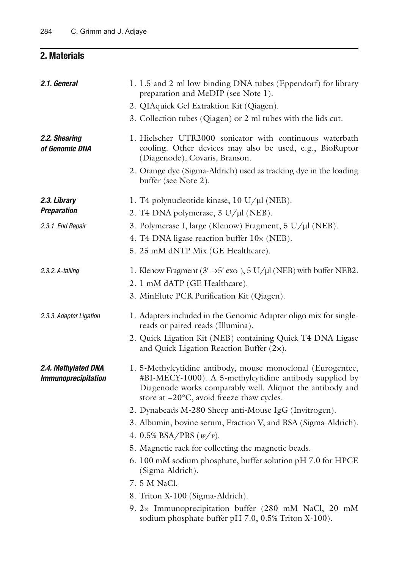## **2. Materials**

| 2.1. General                                      | 1. 1.5 and 2 ml low-binding DNA tubes (Eppendorf) for library<br>preparation and MeDIP (see Note 1).                                                                                                                             |
|---------------------------------------------------|----------------------------------------------------------------------------------------------------------------------------------------------------------------------------------------------------------------------------------|
|                                                   | 2. QIAquick Gel Extraktion Kit (Qiagen).                                                                                                                                                                                         |
|                                                   | 3. Collection tubes (Qiagen) or 2 ml tubes with the lids cut.                                                                                                                                                                    |
| 2.2. Shearing<br>of Genomic DNA                   | 1. Hielscher UTR2000 sonicator with continuous waterbath<br>cooling. Other devices may also be used, e.g., BioRuptor<br>(Diagenode), Covaris, Branson.                                                                           |
|                                                   | 2. Orange dye (Sigma-Aldrich) used as tracking dye in the loading<br>buffer (see Note 2).                                                                                                                                        |
| 2.3. Library                                      | 1. T4 polynucleotide kinase, 10 U/µl (NEB).                                                                                                                                                                                      |
| <b>Preparation</b>                                | 2. T4 DNA polymerase, 3 U/µl (NEB).                                                                                                                                                                                              |
| 2.3.1. End Repair                                 | 3. Polymerase I, large (Klenow) Fragment, 5 U/µl (NEB).                                                                                                                                                                          |
|                                                   | 4. T4 DNA ligase reaction buffer 10x (NEB).                                                                                                                                                                                      |
|                                                   | 5. 25 mM dNTP Mix (GE Healthcare).                                                                                                                                                                                               |
| 2.3.2. A-tailing                                  | 1. Klenow Fragment ( $3' \rightarrow 5'$ exo-), $5 \text{ U}/\mu$ (NEB) with buffer NEB2.                                                                                                                                        |
|                                                   | 2. 1 mM dATP (GE Healthcare).                                                                                                                                                                                                    |
|                                                   | 3. MinElute PCR Purification Kit (Qiagen).                                                                                                                                                                                       |
| 2.3.3. Adapter Ligation                           | 1. Adapters included in the Genomic Adapter oligo mix for single-<br>reads or paired-reads (Illumina).                                                                                                                           |
|                                                   | 2. Quick Ligation Kit (NEB) containing Quick T4 DNA Ligase<br>and Quick Ligation Reaction Buffer $(2x)$ .                                                                                                                        |
| 2.4. Methylated DNA<br><b>Immunoprecipitation</b> | 1. 5-Methylcytidine antibody, mouse monoclonal (Eurogentec,<br>#BI-MECY-1000). A 5-methylcytidine antibody supplied by<br>Diagenode works comparably well. Aliquot the antibody and<br>store at -20°C, avoid freeze-thaw cycles. |
|                                                   | 2. Dynabeads M-280 Sheep anti-Mouse IgG (Invitrogen).                                                                                                                                                                            |
|                                                   | 3. Albumin, bovine serum, Fraction V, and BSA (Sigma-Aldrich).                                                                                                                                                                   |
|                                                   | 4. 0.5% BSA/PBS $(w/v)$ .                                                                                                                                                                                                        |
|                                                   | 5. Magnetic rack for collecting the magnetic beads.                                                                                                                                                                              |
|                                                   | 6. 100 mM sodium phosphate, buffer solution pH 7.0 for HPCE<br>(Sigma-Aldrich).                                                                                                                                                  |
|                                                   | 7. 5 M NaCl.                                                                                                                                                                                                                     |
|                                                   | 8. Triton X-100 (Sigma-Aldrich).                                                                                                                                                                                                 |
|                                                   | 9. 2x Immunoprecipitation buffer (280 mM NaCl, 20 mM<br>sodium phosphate buffer pH 7.0, 0.5% Triton X-100).                                                                                                                      |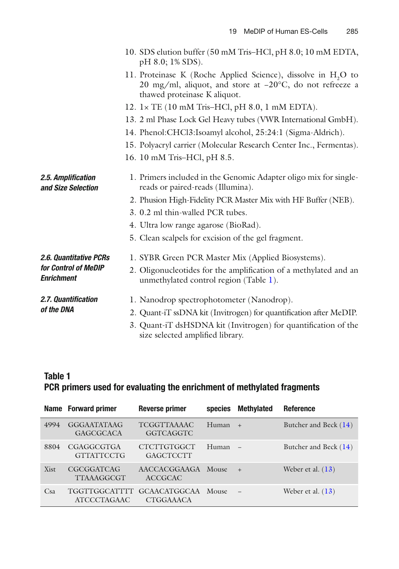<span id="page-4-0"></span>

|                                           | 10. SDS elution buffer (50 mM Tris-HCl, pH 8.0; 10 mM EDTA,<br>pH 8.0; 1% SDS).                                                                                       |
|-------------------------------------------|-----------------------------------------------------------------------------------------------------------------------------------------------------------------------|
|                                           | 11. Proteinase K (Roche Applied Science), dissolve in H <sub>2</sub> O to<br>20 mg/ml, aliquot, and store at -20°C, do not refreeze a<br>thawed proteinase K aliquot. |
|                                           | 12. 1× TE (10 mM Tris-HCl, pH 8.0, 1 mM EDTA).                                                                                                                        |
|                                           | 13. 2 ml Phase Lock Gel Heavy tubes (VWR International GmbH).                                                                                                         |
|                                           | 14. Phenol:CHCl3:Isoamyl alcohol, 25:24:1 (Sigma-Aldrich).                                                                                                            |
|                                           | 15. Polyacryl carrier (Molecular Research Center Inc., Fermentas).                                                                                                    |
|                                           | 16. 10 mM Tris-HCl, pH 8.5.                                                                                                                                           |
| 2.5. Amplification<br>and Size Selection  | 1. Primers included in the Genomic Adapter oligo mix for single-<br>reads or paired-reads (Illumina).                                                                 |
|                                           | 2. Phusion High-Fidelity PCR Master Mix with HF Buffer (NEB).                                                                                                         |
|                                           | 3. 0.2 ml thin-walled PCR tubes.                                                                                                                                      |
|                                           | 4. Ultra low range agarose (BioRad).                                                                                                                                  |
|                                           | 5. Clean scalpels for excision of the gel fragment.                                                                                                                   |
| 2.6. Quantitative PCRs                    | 1. SYBR Green PCR Master Mix (Applied Biosystems).                                                                                                                    |
| for Control of MeDIP<br><b>Enrichment</b> | 2. Oligonucleotides for the amplification of a methylated and an<br>unmethylated control region (Table 1).                                                            |
| 2.7. Quantification                       | 1. Nanodrop spectrophotometer (Nanodrop).                                                                                                                             |
| of the DNA                                | 2. Quant-iT ssDNA kit (Invitrogen) for quantification after MeDIP.                                                                                                    |
|                                           | 3. Quant-iT dsHSDNA kit (Invitrogen) for quantification of the<br>size selected amplified library.                                                                    |

## **Table 1 PCR primers used for evaluating the enrichment of methylated fragments**

|      | Name Forward primer                    | <b>Reverse primer</b>                   | species | <b>Methylated</b> | <b>Reference</b>      |
|------|----------------------------------------|-----------------------------------------|---------|-------------------|-----------------------|
| 4994 | GGGAATATAAG<br><b>GAGCGCACA</b>        | <b>TCGGTTAAAAC</b><br><b>GGTCAGGTC</b>  | Human   | $+$               | Butcher and Beck (14) |
| 8804 | <b>CGAGGCGTGA</b><br><b>GTTATTCCTG</b> | CTCTTGTGGCT<br><b>GAGCTCCTT</b>         | Human   |                   | Butcher and Beck (14) |
| Xist | <b>CGCGGATCAG</b><br><b>TTAAAGGCGT</b> | AACCACGGAAGA Mouse<br><b>ACCGCAC</b>    |         | $+$               | Weber et al. $(13)$   |
| Csa  | TGGTTGGCATTTT<br><b>ATCCCTAGAAC</b>    | <b>GCAACATGGCAA</b><br><b>CTGGAAACA</b> | Mouse   | $\qquad \qquad -$ | Weber et al. $(13)$   |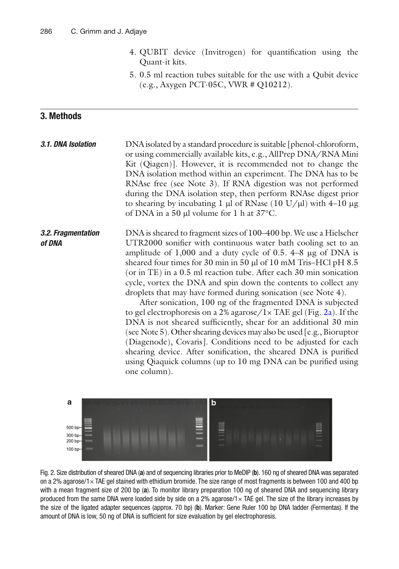- 4. QUBIT device (Invitrogen) for quantification using the Quant-it kits.
- 5. 0.5 ml reaction tubes suitable for the use with a Qubit device (e.g., Axygen PCT-05C, VWR # Q10212).

### <span id="page-5-0"></span> **3. Methods**

DNA isolated by a standard procedure is suitable [phenol-chloroform, or using commercially available kits, e.g., AllPrep DNA/RNA Mini Kit (Qiagen)]. However, it is recommended not to change the DNA isolation method within an experiment. The DNA has to be RNAse free (see Note 3). If RNA digestion was not performed during the DNA isolation step, then perform RNAse digest prior to shearing by incubating 1  $\mu$ l of RNase (10 U/ $\mu$ l) with 4–10  $\mu$ g of DNA in a 50  $\mu$ l volume for 1 h at 37°C.  *3.1. DNA Isolation*

DNA is sheared to fragment sizes of 100–400 bp. We use a Hielscher UTR2000 sonifier with continuous water bath cooling set to an amplitude of  $1,000$  and a duty cycle of 0.5.  $4-8$  µg of DNA is sheared four times for 30 min in 50 µl of 10 mM Tris–HCl pH 8.5 (or in TE) in a 0.5 ml reaction tube. After each 30 min sonication cycle, vortex the DNA and spin down the contents to collect any droplets that may have formed during sonication (see Note 4).  *3.2. Fragmentation of DNA*

> After sonication, 100 ng of the fragmented DNA is subjected to gel electrophoresis on a 2% agarose/ $1 \times$  TAE gel (Fig. 2a). If the DNA is not sheared sufficiently, shear for an additional 30 min ( see Note 5 ). Other shearing devices may also be used [e.g., Bioruptor (Diagenode), Covaris]. Conditions need to be adjusted for each shearing device. After sonification, the sheared DNA is purified using Qiaquick columns (up to 10 mg DNA can be purified using one column).



Fig. 2. Size distribution of sheared DNA (a) and of sequencing libraries prior to MeDIP (b). 160 ng of sheared DNA was separated on a 2% agarose/1× TAE gel stained with ethidium bromide. The size range of most fragments is between 100 and 400 bp with a mean fragment size of 200 bp (a). To monitor library preparation 100 ng of sheared DNA and sequencing library produced from the same DNA were loaded side by side on a 2% agarose/1 $\times$  TAE gel. The size of the library increases by the size of the ligated adapter sequences (approx. 70 bp) (b). Marker: Gene Ruler 100 bp DNA ladder (Fermentas). If the amount of DNA is low, 50 ng of DNA is sufficient for size evaluation by gel electrophoresis.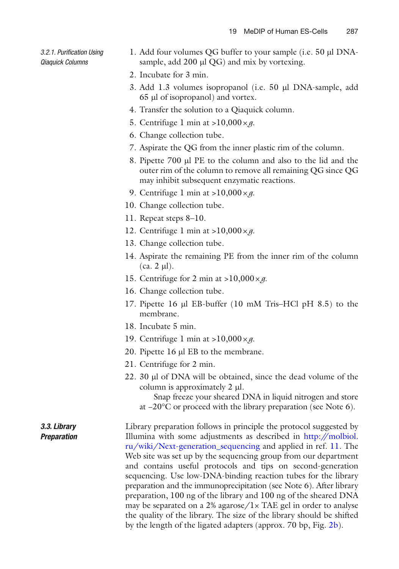*3.2.1. Purifi cation Using Qiaquick Columns*

- 1. Add four volumes QG buffer to your sample (i.e. 50 µl DNAsample, add  $200 \mu l$  QG) and mix by vortexing.
- 2. Incubate for 3 min.
- 3. Add 1.3 volumes isopropanol (i.e. 50 ml DNA-sample, add 65 ml of isopropanol) and vortex.
- 4. Transfer the solution to a Qiaquick column.
- 5. Centrifuge 1 min at  $>10,000 \times g$ .
- 6. Change collection tube.
- 7. Aspirate the QG from the inner plastic rim of the column.
- 8. Pipette 700 µl PE to the column and also to the lid and the outer rim of the column to remove all remaining QG since QG may inhibit subsequent enzymatic reactions.
- 9. Centrifuge 1 min at  $>10,000 \times g$ .
- 10. Change collection tube.
- 11. Repeat steps 8–10.
- 12. Centrifuge 1 min at  $>10,000 \times g$ .
- 13. Change collection tube.
- 14. Aspirate the remaining PE from the inner rim of the column  $(ca. 2 \mu l).$
- 15. Centrifuge for 2 min at  $>10,000 \times g$ .
- 16. Change collection tube.
- 17. Pipette 16  $\mu$ l EB-buffer (10 mM Tris–HCl pH 8.5) to the membrane.
- 18. Incubate 5 min.
- 19. Centrifuge 1 min at >10,000 × *g*.
- 20. Pipette  $16 \mu$ I EB to the membrane.
- 21. Centrifuge for 2 min.
- 22. 30 µl of DNA will be obtained, since the dead volume of the column is approximately  $2 \mu l$ .
	- Snap freeze your sheared DNA in liquid nitrogen and store at −20°C or proceed with the library preparation ( see Note 6 ).

Library preparation follows in principle the protocol suggested by Illumina with some adjustments as described in [http://molbiol.](http://molbiol.ru/wiki/Next-generation_sequencing) [ru/wiki/Next-generation\\_sequencing](http://molbiol.ru/wiki/Next-generation_sequencing) and applied in ref. [11](#page-14-0). The Web site was set up by the sequencing group from our department and contains useful protocols and tips on second-generation sequencing. Use low-DNA-binding reaction tubes for the library preparation and the immunoprecipitation (see Note 6). After library preparation, 100 ng of the library and 100 ng of the sheared DNA may be separated on a 2% agarose/ $1 \times$  TAE gel in order to analyse the quality of the library. The size of the library should be shifted by the length of the ligated adapters (approx. 70 bp, Fig. [2b\)](#page-5-0).  *3.3. Library Preparation*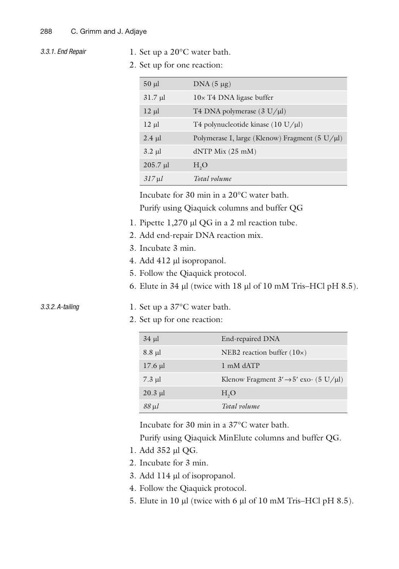- *3.3.1. End Repair*
- 1. Set up a 20°C water bath.
- 2. Set up for one reaction:

| $50 \mu l$    | $DNA(5 \mu g)$                                 |
|---------------|------------------------------------------------|
| $31.7 \mu$    | $10\times$ T4 DNA ligase buffer                |
| $12 \mu$      | T4 DNA polymerase $(3 U/ \mu l)$               |
| $12 \mu$      | T4 polynucleotide kinase $(10 U/\mu l)$        |
| $2.4 \mu l$   | Polymerase I, large (Klenow) Fragment (5 U/µl) |
| $3.2 \mu l$   | $dNTP$ Mix (25 mM)                             |
| $205.7 \mu l$ | H <sub>2</sub> O                               |
| $317 \mu l$   | Total volume                                   |

Incubate for 30 min in a 20°C water bath.

Purify using Qiaquick columns and buffer QG

- 1. Pipette 1,270 µl QG in a 2 ml reaction tube.
- 2. Add end-repair DNA reaction mix.
- 3. Incubate 3 min.
- 4. Add 412 µl isopropanol.
- 5. Follow the Qiaquick protocol.
- 6. Elute in  $34 \mu$  (twice with 18  $\mu$ l of 10 mM Tris–HCl pH 8.5).

#### 1. Set up a 37°C water bath.  *3.3.2. A-tailing*

2. Set up for one reaction:

| $34 \mu$     | End-repaired DNA                                  |
|--------------|---------------------------------------------------|
| $8.8 \mu$ l  | NEB2 reaction buffer $(10x)$                      |
| $17.6 \mu l$ | 1 mM dATP                                         |
| $7.3$ µl     | Klenow Fragment $3' \rightarrow 5'$ exo- (5 U/µl) |
| $20.3$ µl    | H <sub>2</sub> O                                  |
| $88 \mu l$   | Total volume                                      |

Incubate for 30 min in a 37°C water bath.

Purify using Qiaquick MinElute columns and buffer QG.

- 1. Add 352 µl QG.
- 2. Incubate for 3 min.
- 3. Add 114 µl of isopropanol.
- 4. Follow the Qiaquick protocol.
- 5. Elute in 10  $\mu$ l (twice with 6  $\mu$ l of 10 mM Tris–HCl pH 8.5).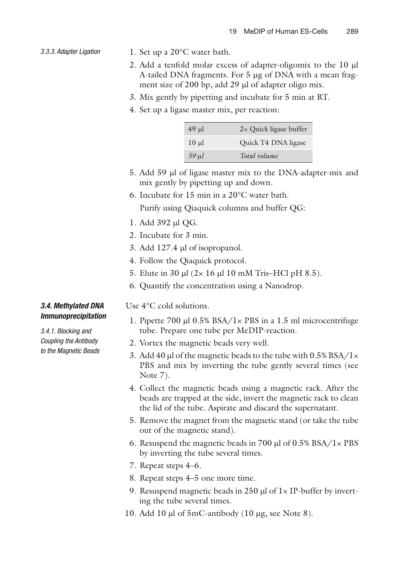- *3.3.3. Adapter Ligation*
	- 1. Set up a 20°C water bath.
	- 2. Add a tenfold molar excess of adapter-oligomix to the 10 µl A-tailed DNA fragments. For 5 µg of DNA with a mean fragment size of 200 bp, add 29  $\mu$ l of adapter oligo mix.
	- 3. Mix gently by pipetting and incubate for 5 min at RT.
	- 4. Set up a ligase master mix, per reaction:

| 49 µl      | $2 \times$ Quick ligase buffer |
|------------|--------------------------------|
| $10 \mu$   | Quick T4 DNA ligase            |
| $59$ $\mu$ | Total volume                   |

- 5. Add 59 µl of ligase master mix to the DNA-adapter-mix and mix gently by pipetting up and down.
- 6. Incubate for 15 min in a 20°C water bath.

Purify using Qiaquick columns and buffer QG:

- 1. Add 392 µl OG.
- 2. Incubate for 3 min.
- 3. Add 127.4 µl of isopropanol.
- 4. Follow the Qiaquick protocol.
- 5. Elute in 30  $\mu$ l (2× 16  $\mu$ l 10 mM Tris–HCl pH 8.5).
- 6. Quantify the concentration using a Nanodrop.

#### *3.4. Methylated DNA Immunoprecipitation*

 *3.4.1. Blocking and Coupling the Antibody to the Magnetic Beads* Use 4°C cold solutions.

- 1. Pipette 700 µl  $0.5\%$  BSA/1 $\times$  PBS in a 1.5 ml microcentrifuge tube. Prepare one tube per MeDIP-reaction.
- 2. Vortex the magnetic beads very well.
- 3. Add 40 µl of the magnetic beads to the tube with  $0.5\%$  BSA/1 $\times$ PBS and mix by inverting the tube gently several times (see Note 7).
- 4. Collect the magnetic beads using a magnetic rack. After the beads are trapped at the side, invert the magnetic rack to clean the lid of the tube. Aspirate and discard the supernatant.
- 5. Remove the magnet from the magnetic stand (or take the tube out of the magnetic stand).
- 6. Resuspend the magnetic beads in 700  $\mu$ l of 0.5% BSA/1 $\times$  PBS by inverting the tube several times.
- 7. Repeat steps 4–6.
- 8. Repeat steps 4–5 one more time.
- 9. Resuspend magnetic beads in 250  $\mu$ l of  $1 \times$  IP-buffer by inverting the tube several times.
- 10. Add 10  $\mu$ l of 5mC-antibody (10  $\mu$ g, see Note 8).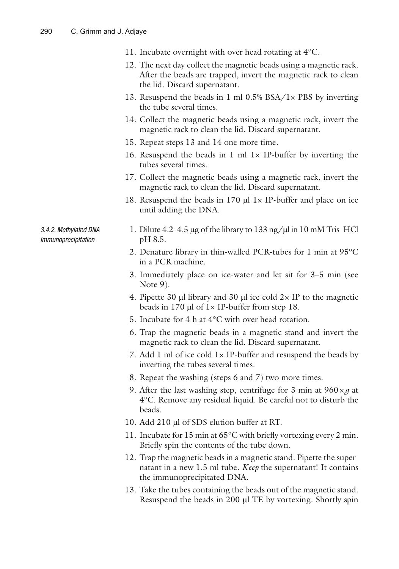- 11. Incubate overnight with over head rotating at 4°C.
- 12. The next day collect the magnetic beads using a magnetic rack. After the beads are trapped, invert the magnetic rack to clean the lid. Discard supernatant.
- 13. Resuspend the beads in 1 ml  $0.5\%$  BSA/1 $\times$  PBS by inverting the tube several times.
- 14. Collect the magnetic beads using a magnetic rack, invert the magnetic rack to clean the lid. Discard supernatant.
- 15. Repeat steps 13 and 14 one more time.
- 16. Resuspend the beads in 1 ml  $1 \times$  IP-buffer by inverting the tubes several times.
- 17. Collect the magnetic beads using a magnetic rack, invert the magnetic rack to clean the lid. Discard supernatant.
- 18. Resuspend the beads in 170  $\mu$ l 1× IP-buffer and place on ice until adding the DNA.

 *3.4.2. Methylated DNA Immunoprecipitation*

- 1. Dilute  $4.2-4.5 \mu$ g of the library to 133 ng/ $\mu$ l in 10 mM Tris–HCl pH 8.5.
- 2. Denature library in thin-walled PCR-tubes for 1 min at 95°C in a PCR machine.
- 3. Immediately place on ice-water and let sit for 3–5 min (see Note 9).
- 4. Pipette 30  $\mu$ l library and 30  $\mu$ l ice cold 2× IP to the magnetic beads in 170  $\mu$ l of 1× IP-buffer from step 18.
- 5. Incubate for 4 h at 4°C with over head rotation.
- 6. Trap the magnetic beads in a magnetic stand and invert the magnetic rack to clean the lid. Discard supernatant.
- 7. Add 1 ml of ice cold 1× IP-buffer and resuspend the beads by inverting the tubes several times.
- 8. Repeat the washing (steps 6 and 7) two more times.
- 9. After the last washing step, centrifuge for 3 min at  $960 \times g$  at 4°C. Remove any residual liquid. Be careful not to disturb the beads.
- 10. Add 210 µl of SDS elution buffer at RT.
- 11. Incubate for 15 min at  $65^{\circ}$ C with briefly vortexing every 2 min. Briefly spin the contents of the tube down.
- 12. Trap the magnetic beads in a magnetic stand. Pipette the supernatant in a new 1.5 ml tube. *Keep* the supernatant! It contains the immunoprecipitated DNA.
- 13. Take the tubes containing the beads out of the magnetic stand. Resuspend the beads in  $200 \mu$ l TE by vortexing. Shortly spin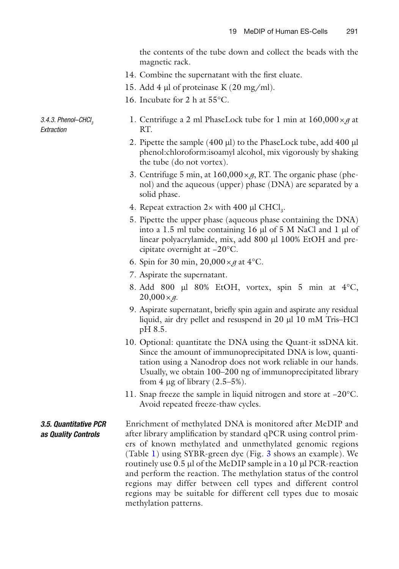the contents of the tube down and collect the beads with the magnetic rack.

- 14. Combine the supernatant with the first eluate.
- 15. Add 4  $\mu$ l of proteinase K (20 mg/ml).
- 16. Incubate for 2 h at 55°C.
- *3.4.3. Phenol–CHCl 3 Extraction*
- 1. Centrifuge a 2 ml PhaseLock tube for 1 min at  $160,000 \times g$  at RT.
- 2. Pipette the sample  $(400 \mu l)$  to the PhaseLock tube, add  $400 \mu l$ phenol:chloroform:isoamyl alcohol, mix vigorously by shaking the tube (do not vortex).
- 3. Centrifuge 5 min, at  $160,000 \times g$ , RT. The organic phase (phenol) and the aqueous (upper) phase (DNA) are separated by a solid phase.
- 4. Repeat extraction  $2 \times$  with 400 µl CHCl<sub>3</sub>.
	- 5. Pipette the upper phase (aqueous phase containing the DNA) into a 1.5 ml tube containing 16  $\mu$ l of 5 M NaCl and 1  $\mu$ l of linear polyacrylamide, mix, add 800 µl 100% EtOH and precipitate overnight at −20°C.
	- 6. Spin for 30 min,  $20,000 \times g$  at  $4^{\circ}$ C.
	- 7. Aspirate the supernatant.
	- 8. Add 800 µl 80% EtOH, vortex, spin 5 min at  $4^{\circ}$ C,  $20,000 \times g$ .
	- 9. Aspirate supernatant, briefly spin again and aspirate any residual liquid, air dry pellet and resuspend in 20 µl 10 mM Tris–HCl pH 8.5.
- 10. Optional: quantitate the DNA using the Quant-it ssDNA kit. Since the amount of immunoprecipitated DNA is low, quantitation using a Nanodrop does not work reliable in our hands. Usually, we obtain 100–200 ng of immunoprecipitated library from 4  $\mu$ g of library (2.5–5%).
- 11. Snap freeze the sample in liquid nitrogen and store at −20°C. Avoid repeated freeze-thaw cycles.
- Enrichment of methylated DNA is monitored after MeDIP and after library amplification by standard qPCR using control primers of known methylated and unmethylated genomic regions (Table [1\)](#page-4-0) using SYBR-green dye (Fig. [3](#page-11-0) shows an example). We routinely use  $0.5$  µl of the MeDIP sample in a  $10$  µl PCR-reaction and perform the reaction. The methylation status of the control regions may differ between cell types and different control regions may be suitable for different cell types due to mosaic methylation patterns.  *3.5. Quantitative PCR as Quality Controls*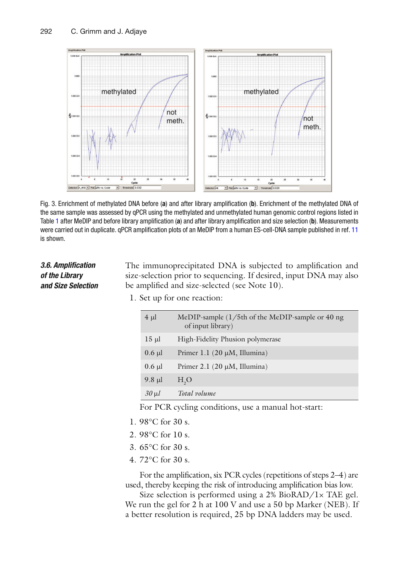<span id="page-11-0"></span>

Fig. 3. Enrichment of methylated DNA before (a) and after library amplification (b). Enrichment of the methylated DNA of the same sample was assessed by qPCR using the methylated and unmethylated human genomic control regions listed in Table [1](#page-4-0) after MeDIP and before library amplification (a) and after library amplification and size selection (b). Measurements were carried out in duplicate. gPCR amplification plots of an MeDIP from a human ES-cell-DNA sample published in ref. [11](#page-14-0) is shown.

### *3.6. Amplifi cation of the Library and Size Selection*

The immunoprecipitated DNA is subjected to amplification and size-selection prior to sequencing. If desired, input DNA may also be amplified and size-selected (see Note 10).

1. Set up for one reaction:

| $4 \mu$     | MeDIP-sample $(1/5th)$ of the MeDIP-sample or 40 ng<br>of input library) |
|-------------|--------------------------------------------------------------------------|
| $15 \mu l$  | High-Fidelity Phusion polymerase                                         |
| $0.6$ µl    | Primer 1.1 $(20 \mu M, Illumina)$                                        |
| $0.6$ µl    | Primer 2.1 $(20 \mu M, Illumina)$                                        |
| $9.8 \mu$ l | H <sub>2</sub> O                                                         |
| $30$ $\mu$  | Total volume                                                             |

For PCR cycling conditions, use a manual hot-start:

- 1. 98°C for 30 s.
- 2. 98°C for 10 s.
- 3. 65°C for 30 s.
- 4. 72°C for 30 s.

For the amplification, six PCR cycles (repetitions of steps  $2-4$ ) are used, thereby keeping the risk of introducing amplification bias low.

Size selection is performed using a 2% BioRAD/1× TAE gel. We run the gel for 2 h at 100 V and use a 50 bp Marker (NEB). If a better resolution is required, 25 bp DNA ladders may be used.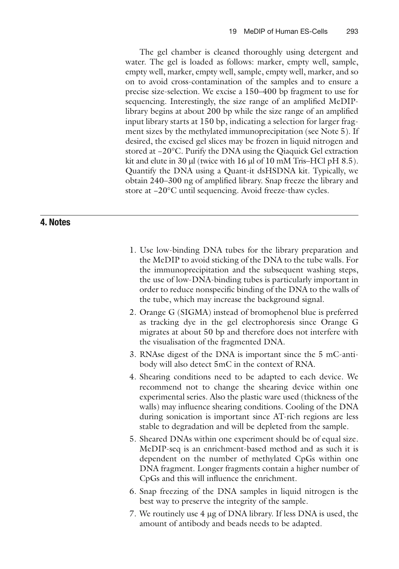The gel chamber is cleaned thoroughly using detergent and water. The gel is loaded as follows: marker, empty well, sample, empty well, marker, empty well, sample, empty well, marker, and so on to avoid cross-contamination of the samples and to ensure a precise size-selection. We excise a 150–400 bp fragment to use for sequencing. Interestingly, the size range of an amplified MeDIPlibrary begins at about 200 bp while the size range of an amplified input library starts at 150 bp, indicating a selection for larger fragment sizes by the methylated immunoprecipitation (see Note 5). If desired, the excised gel slices may be frozen in liquid nitrogen and stored at −20°C. Purify the DNA using the Qiaquick Gel extraction kit and elute in 30  $\mu$ l (twice with 16  $\mu$ l of 10 mM Tris–HCl pH 8.5). Quantify the DNA using a Quant-it dsHSDNA kit. Typically, we obtain 240–300 ng of amplified library. Snap freeze the library and store at −20°C until sequencing. Avoid freeze-thaw cycles.

#### **4. Notes**

- 1. Use low-binding DNA tubes for the library preparation and the MeDIP to avoid sticking of the DNA to the tube walls. For the immunoprecipitation and the subsequent washing steps, the use of low-DNA-binding tubes is particularly important in order to reduce nonspecific binding of the DNA to the walls of the tube, which may increase the background signal.
- 2. Orange G (SIGMA) instead of bromophenol blue is preferred as tracking dye in the gel electrophoresis since Orange G migrates at about 50 bp and therefore does not interfere with the visualisation of the fragmented DNA.
- 3. RNAse digest of the DNA is important since the 5 mC-antibody will also detect 5mC in the context of RNA.
- 4. Shearing conditions need to be adapted to each device. We recommend not to change the shearing device within one experimental series. Also the plastic ware used (thickness of the walls) may influence shearing conditions. Cooling of the DNA during sonication is important since AT-rich regions are less stable to degradation and will be depleted from the sample.
- 5. Sheared DNAs within one experiment should be of equal size. MeDIP-seq is an enrichment-based method and as such it is dependent on the number of methylated CpGs within one DNA fragment. Longer fragments contain a higher number of CpGs and this will influence the enrichment.
- 6. Snap freezing of the DNA samples in liquid nitrogen is the best way to preserve the integrity of the sample.
- 7. We routinely use  $4 \mu$ g of DNA library. If less DNA is used, the amount of antibody and beads needs to be adapted.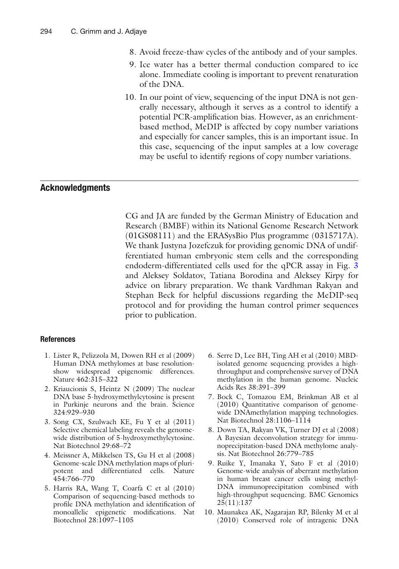- <span id="page-13-0"></span>8. Avoid freeze-thaw cycles of the antibody and of your samples.
- 9. Ice water has a better thermal conduction compared to ice alone. Immediate cooling is important to prevent renaturation of the DNA.
- 10. In our point of view, sequencing of the input DNA is not generally necessary, although it serves as a control to identify a potential PCR-amplification bias. However, as an enrichmentbased method, MeDIP is affected by copy number variations and especially for cancer samples, this is an important issue. In this case, sequencing of the input samples at a low coverage may be useful to identify regions of copy number variations.

#### **Acknowledgments**

CG and JA are funded by the German Ministry of Education and Research (BMBF) within its National Genome Research Network (01GS08111) and the ERASysBio Plus programme (0315717A). We thank Justyna Jozefczuk for providing genomic DNA of undifferentiated human embryonic stem cells and the corresponding endoderm-differentiated cells used for the qPCR assay in Fig. [3](#page-11-0) and Aleksey Soldatov, Tatiana Borodina and Aleksey Kirpy for advice on library preparation. We thank Vardhman Rakyan and Stephan Beck for helpful discussions regarding the MeDIP-seq protocol and for providing the human control primer sequences prior to publication.

#### **References**

- 1. Lister R, Pelizzola M, Dowen RH et al (2009) Human DNA methylomes at base resolutionshow widespread epigenomic differences. Nature 462:315–322
- 2. Kriaucionis S, Heintz N (2009) The nuclear DNA base 5-hydroxymethylcytosine is present in Purkinje neurons and the brain. Science 324:929–930
- 3. Song CX, Szulwach KE, Fu Y et al (2011) Selective chemical labeling reveals the genomewide distribution of 5-hydroxymethylcytosine. Nat Biotechnol 29:68–72
- 4. Meissner A, Mikkelsen TS, Gu H et al (2008) Genome-scale DNA methylation maps of pluripotent and differentiated cells. Nature 454:766–770
- 5. Harris RA, Wang T, Coarfa C et al (2010) Comparison of sequencing-based methods to profile DNA methylation and identification of monoallelic epigenetic modifications. Nat Biotechnol 28:1097–1105
- 6. Serre D, Lee BH, Ting AH et al (2010) MBDisolated genome sequencing provides a highthroughput and comprehensive survey of DNA methylation in the human genome. Nucleic Acids Res 38:391–399
- 7. Bock C, Tomazou EM, Brinkman AB et al (2010) Quantitative comparison of genomewide DNAmethylation mapping technologies. Nat Biotechnol 28:1106-1114
- 8. Down TA, Rakyan VK, Turner DJ et al (2008) A Bayesian deconvolution strategy for immunoprecipitation-based DNA methylome analysis. Nat Biotechnol 26:779–785
- 9. Ruike Y, Imanaka Y, Sato F et al (2010) Genome-wide analysis of aberrant methylation in human breast cancer cells using methyl-DNA immunoprecipitation combined with high-throughput sequencing. BMC Genomics 25(11):137
- 10. Maunakea AK, Nagarajan RP, Bilenky M et al (2010) Conserved role of intragenic DNA